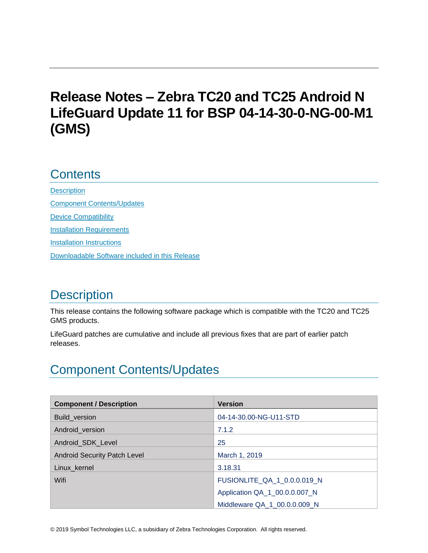# **Release Notes – Zebra TC20 and TC25 Android N LifeGuard Update 11 for BSP 04-14-30-0-NG-00-M1 (GMS)**

## **Contents**

**[Description](#page-0-0)** [Component Contents/Updates](#page-0-1) [Device Compatibility](#page-6-0) **[Installation Requirements](#page-7-0)** [Installation Instructions](#page-8-0) [Downloadable Software included in this Release](#page-10-0) 

# <span id="page-0-0"></span>**Description**

This release contains the following software package which is compatible with the TC20 and TC25 GMS products.

LifeGuard patches are cumulative and include all previous fixes that are part of earlier patch releases.

# <span id="page-0-1"></span>Component Contents/Updates

| <b>Component / Description</b>      | <b>Version</b>                |
|-------------------------------------|-------------------------------|
| Build_version                       | 04-14-30.00-NG-U11-STD        |
| Android_version                     | 7.1.2                         |
| Android_SDK_Level                   | 25                            |
| <b>Android Security Patch Level</b> | March 1, 2019                 |
| Linux_kernel                        | 3.18.31                       |
| Wifi                                | FUSIONLITE_QA_1_0.0.0.019_N   |
|                                     | Application QA_1_00.0.0.007_N |
|                                     | Middleware QA 1 00.0.0.009 N  |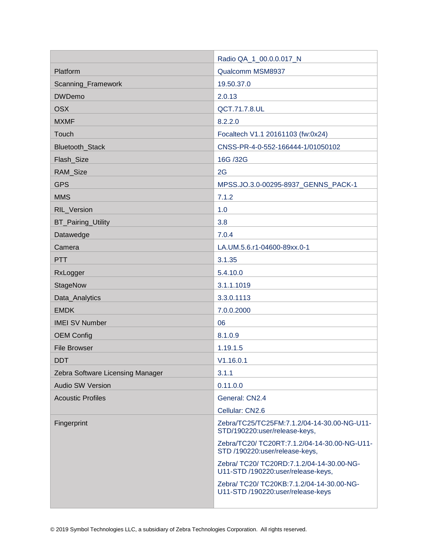|                                  | Radio QA_1_00.0.0.017_N                                                         |
|----------------------------------|---------------------------------------------------------------------------------|
| Platform                         | Qualcomm MSM8937                                                                |
| Scanning_Framework               | 19.50.37.0                                                                      |
| <b>DWDemo</b>                    | 2.0.13                                                                          |
| <b>OSX</b>                       | QCT.71.7.8.UL                                                                   |
| <b>MXMF</b>                      | 8.2.2.0                                                                         |
| Touch                            | Focaltech V1.1 20161103 (fw:0x24)                                               |
| <b>Bluetooth Stack</b>           | CNSS-PR-4-0-552-166444-1/01050102                                               |
| Flash_Size                       | 16G /32G                                                                        |
| RAM_Size                         | 2G                                                                              |
| <b>GPS</b>                       | MPSS.JO.3.0-00295-8937_GENNS_PACK-1                                             |
| <b>MMS</b>                       | 7.1.2                                                                           |
| RIL_Version                      | 1.0                                                                             |
| <b>BT_Pairing_Utility</b>        | 3.8                                                                             |
| Datawedge                        | 7.0.4                                                                           |
| Camera                           | LA.UM.5.6.r1-04600-89xx.0-1                                                     |
| <b>PTT</b>                       | 3.1.35                                                                          |
| RxLogger                         | 5.4.10.0                                                                        |
| StageNow                         | 3.1.1.1019                                                                      |
| Data_Analytics                   | 3.3.0.1113                                                                      |
| <b>EMDK</b>                      | 7.0.0.2000                                                                      |
| <b>IMEI SV Number</b>            | 06                                                                              |
| <b>OEM Config</b>                | 8.1.0.9                                                                         |
| <b>File Browser</b>              | 1.19.1.5                                                                        |
| <b>DDT</b>                       | V1.16.0.1                                                                       |
| Zebra Software Licensing Manager | 3.1.1                                                                           |
| <b>Audio SW Version</b>          | 0.11.0.0                                                                        |
| <b>Acoustic Profiles</b>         | General: CN2.4                                                                  |
|                                  | Cellular: CN2.6                                                                 |
| Fingerprint                      | Zebra/TC25/TC25FM:7.1.2/04-14-30.00-NG-U11-<br>STD/190220:user/release-keys,    |
|                                  | Zebra/TC20/ TC20RT:7.1.2/04-14-30.00-NG-U11-<br>STD /190220:user/release-keys,  |
|                                  | Zebra/ TC20/ TC20RD:7.1.2/04-14-30.00-NG-<br>U11-STD /190220:user/release-keys, |
|                                  | Zebra/ TC20/ TC20KB:7.1.2/04-14-30.00-NG-<br>U11-STD /190220:user/release-keys  |
|                                  |                                                                                 |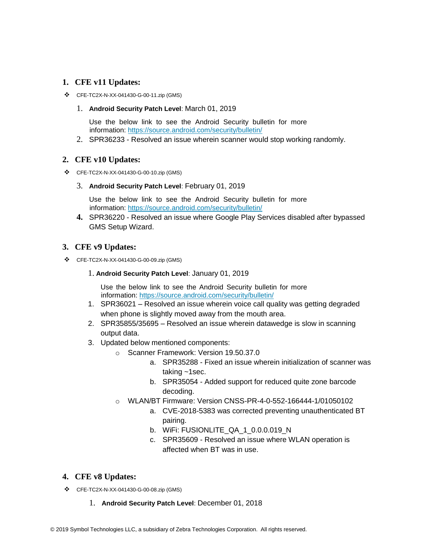#### **1. CFE v11 Updates:**

❖ CFE-TC2X-N-XX-041430-G-00-11.zip (GMS)

#### 1. **Android Security Patch Level**: March 01, 2019

Use the below link to see the Android Security bulletin for more information:<https://source.android.com/security/bulletin/>

2. SPR36233 - Resolved an issue wherein scanner would stop working randomly.

#### **2. CFE v10 Updates:**

❖ CFE-TC2X-N-XX-041430-G-00-10.zip (GMS)

#### 3. **Android Security Patch Level**: February 01, 2019

Use the below link to see the Android Security bulletin for more information:<https://source.android.com/security/bulletin/>

**4.** SPR36220 - Resolved an issue where Google Play Services disabled after bypassed GMS Setup Wizard.

#### **3. CFE v9 Updates:**

❖ CFE-TC2X-N-XX-041430-G-00-09.zip (GMS)

#### 1. **Android Security Patch Level**: January 01, 2019

Use the below link to see the Android Security bulletin for more information:<https://source.android.com/security/bulletin/>

- 1. SPR36021 Resolved an issue wherein voice call quality was getting degraded when phone is slightly moved away from the mouth area.
- 2. SPR35855/35695 Resolved an issue wherein datawedge is slow in scanning output data.
- 3. Updated below mentioned components:
	- o Scanner Framework: Version 19.50.37.0
		- a. SPR35288 Fixed an issue wherein initialization of scanner was taking ~1sec.
		- b. SPR35054 Added support for reduced quite zone barcode decoding.
	- o WLAN/BT Firmware: Version CNSS-PR-4-0-552-166444-1/01050102
		- a. CVE-2018-5383 was corrected preventing unauthenticated BT pairing.
		- b. WiFi: FUSIONLITE\_QA\_1\_0.0.0.019\_N
		- c. SPR35609 Resolved an issue where WLAN operation is affected when BT was in use.

#### **4. CFE v8 Updates:**

- ❖ CFE-TC2X-N-XX-041430-G-00-08.zip (GMS)
	- 1. **Android Security Patch Level**: December 01, 2018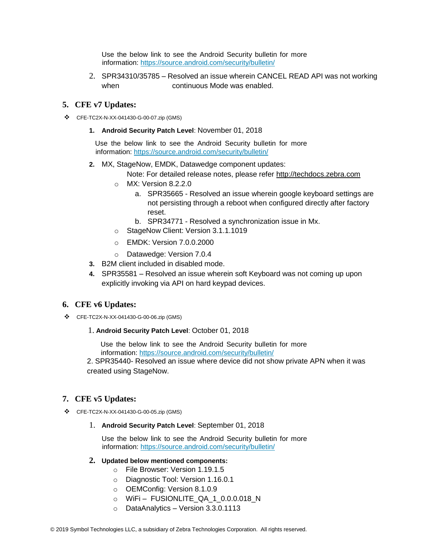Use the below link to see the Android Security bulletin for more information:<https://source.android.com/security/bulletin/>

2. SPR34310/35785 – Resolved an issue wherein CANCEL READ API was not working when continuous Mode was enabled.

#### **5. CFE v7 Updates:**

- ❖ CFE-TC2X-N-XX-041430-G-00-07.zip (GMS)
	- **1. Android Security Patch Level**: November 01, 2018

Use the below link to see the Android Security bulletin for more information:<https://source.android.com/security/bulletin/>

**2.** MX, StageNow, EMDK, Datawedge component updates:

Note: For detailed release notes, please refer [http://techdocs.zebra.com](http://techdocs.zebra.com/)

- o MX: Version 8.2.2.0
	- a. SPR35665 Resolved an issue wherein google keyboard settings are not persisting through a reboot when configured directly after factory reset.
	- b. SPR34771 Resolved a synchronization issue in Mx.
- o StageNow Client: Version 3.1.1.1019
- o EMDK: Version 7.0.0.2000
- o Datawedge: Version 7.0.4
- **3.** B2M client included in disabled mode.
- **4.** SPR35581 Resolved an issue wherein soft Keyboard was not coming up upon explicitly invoking via API on hard keypad devices.

#### **6. CFE v6 Updates:**

- ❖ CFE-TC2X-N-XX-041430-G-00-06.zip (GMS)
	- 1. **Android Security Patch Level**: October 01, 2018

Use the below link to see the Android Security bulletin for more information:<https://source.android.com/security/bulletin/>

2. SPR35440- Resolved an issue where device did not show private APN when it was created using StageNow.

#### **7. CFE v5 Updates:**

- ❖ CFE-TC2X-N-XX-041430-G-00-05.zip (GMS)
	- 1. **Android Security Patch Level**: September 01, 2018

Use the below link to see the Android Security bulletin for more information:<https://source.android.com/security/bulletin/>

- **2. Updated below mentioned components:**
	- o File Browser: Version 1.19.1.5
	- o Diagnostic Tool: Version 1.16.0.1
	- o OEMConfig: Version 8.1.0.9
	- o WiFi FUSIONLITE\_QA\_1\_0.0.0.018\_N
	- o DataAnalytics Version 3.3.0.1113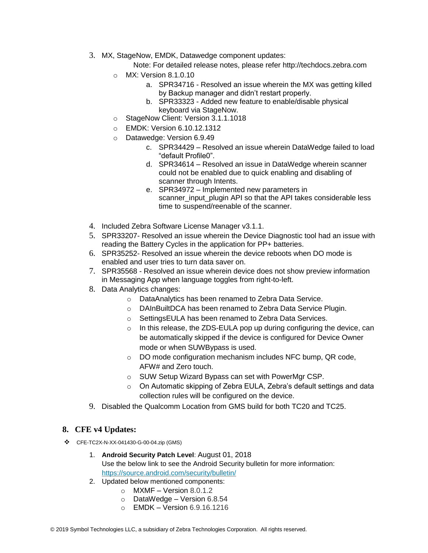3. MX, StageNow, EMDK, Datawedge component updates:

Note: For detailed release notes, please refer [http://techdocs.zebra.com](http://techdocs.zebra.com/)

- o MX: Version 8.1.0.10
	- a. SPR34716 Resolved an issue wherein the MX was getting killed by Backup manager and didn't restart properly.
	- b. SPR33323 Added new feature to enable/disable physical keyboard via StageNow.
- o StageNow Client: Version 3.1.1.1018
- o EMDK: Version 6.10.12.1312
- o Datawedge: Version 6.9.49
	- c. SPR34429 Resolved an issue wherein DataWedge failed to load "default Profile0".
	- d. SPR34614 Resolved an issue in DataWedge wherein scanner could not be enabled due to quick enabling and disabling of scanner through Intents.
	- e. SPR34972 Implemented new parameters in scanner input plugin API so that the API takes considerable less time to suspend/reenable of the scanner.
- 4. Included Zebra Software License Manager v3.1.1.
- 5. SPR33207- Resolved an issue wherein the Device Diagnostic tool had an issue with reading the Battery Cycles in the application for PP+ batteries.
- 6. SPR35252- Resolved an issue wherein the device reboots when DO mode is enabled and user tries to turn data saver on.
- 7. SPR35568 Resolved an issue wherein device does not show preview information in Messaging App when language toggles from right-to-left.
- 8. Data Analytics changes:
	- o DataAnalytics has been renamed to Zebra Data Service.
	- o DAInBuiltDCA has been renamed to Zebra Data Service Plugin.
	- o SettingsEULA has been renamed to Zebra Data Services.
	- $\circ$  In this release, the ZDS-EULA pop up during configuring the device, can be automatically skipped if the device is configured for Device Owner mode or when SUWBypass is used.
	- o DO mode configuration mechanism includes NFC bump, QR code, AFW# and Zero touch.
	- o SUW Setup Wizard Bypass can set with PowerMgr CSP.
	- $\circ$  On Automatic skipping of Zebra EULA, Zebra's default settings and data collection rules will be configured on the device.
- 9. Disabled the Qualcomm Location from GMS build for both TC20 and TC25.

#### **8. CFE v4 Updates:**

- ❖ CFE-TC2X-N-XX-041430-G-00-04.zip (GMS)
	- 1. **Android Security Patch Level**: August 01, 2018 Use the below link to see the Android Security bulletin for more information: <https://source.android.com/security/bulletin/>
	- 2. Updated below mentioned components:
		- $\circ$  MXMF Version 8.0.1.2
			- o DataWedge Version 6.8.54
			- o EMDK Version 6.9.16.1216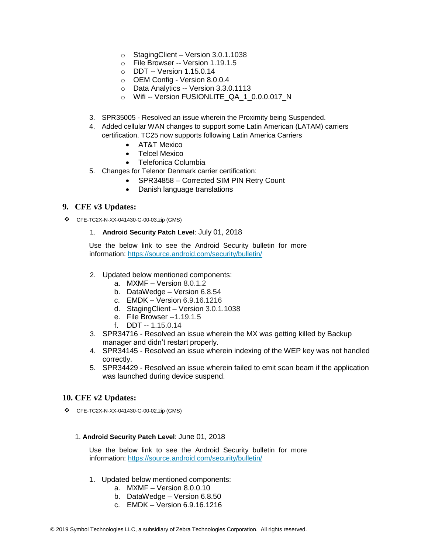- o StagingClient Version 3.0.1.1038
- o File Browser -- Version 1.19.1.5
- o DDT -- Version 1.15.0.14
- o OEM Config Version 8.0.0.4
- o Data Analytics -- Version 3.3.0.1113
- o Wifi -- Version FUSIONLITE\_QA\_1\_0.0.0.017\_N
- 3. SPR35005 Resolved an issue wherein the Proximity being Suspended.
- 4. Added cellular WAN changes to support some Latin American (LATAM) carriers certification. TC25 now supports following Latin America Carriers
	- AT&T Mexico
	- Telcel Mexico
	- Telefonica Columbia
- 5. Changes for Telenor Denmark carrier certification:
	- SPR34858 Corrected SIM PIN Retry Count
		- Danish language translations

#### **9. CFE v3 Updates:**

- ❖ CFE-TC2X-N-XX-041430-G-00-03.zip (GMS)
	- 1. **Android Security Patch Level**: July 01, 2018

Use the below link to see the Android Security bulletin for more information:<https://source.android.com/security/bulletin/>

- 2. Updated below mentioned components:
	- a. MXMF Version 8.0.1.2
	- b. DataWedge Version 6.8.54
	- c. EMDK Version 6.9.16.1216
	- d. StagingClient Version 3.0.1.1038
	- e. File Browser --1.19.1.5
	- f. DDT -- 1.15.0.14
- 3. SPR34716 Resolved an issue wherein the MX was getting killed by Backup manager and didn't restart properly.
- 4. SPR34145 Resolved an issue wherein indexing of the WEP key was not handled correctly.
- 5. SPR34429 Resolved an issue wherein failed to emit scan beam if the application was launched during device suspend.

#### **10. CFE v2 Updates:**

❖ CFE-TC2X-N-XX-041430-G-00-02.zip (GMS)

#### 1. **Android Security Patch Level**: June 01, 2018

Use the below link to see the Android Security bulletin for more information:<https://source.android.com/security/bulletin/>

- 1. Updated below mentioned components:
	- a. MXMF Version 8.0.0.10
	- b. DataWedge Version 6.8.50
	- c. EMDK Version 6.9.16.1216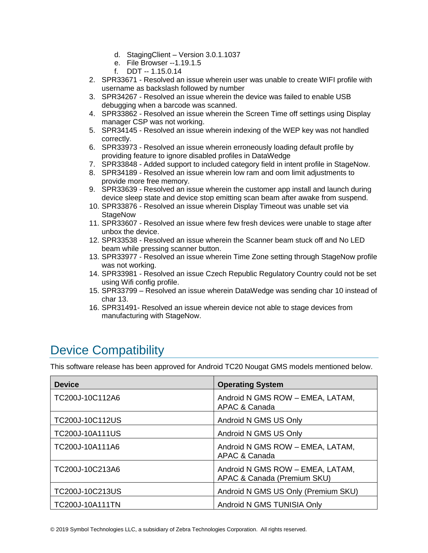- d. StagingClient Version 3.0.1.1037
- e. File Browser --1.19.1.5
- f. DDT -- 1.15.0.14
- 2. SPR33671 Resolved an issue wherein user was unable to create WIFI profile with username as backslash followed by number
- 3. SPR34267 Resolved an issue wherein the device was failed to enable USB debugging when a barcode was scanned.
- 4. SPR33862 Resolved an issue wherein the Screen Time off settings using Display manager CSP was not working.
- 5. SPR34145 Resolved an issue wherein indexing of the WEP key was not handled correctly.
- 6. SPR33973 Resolved an issue wherein erroneously loading default profile by providing feature to ignore disabled profiles in DataWedge
- 7. SPR33848 Added support to included category field in intent profile in StageNow.
- 8. SPR34189 Resolved an issue wherein low ram and oom limit adjustments to provide more free memory.
- 9. SPR33639 Resolved an issue wherein the customer app install and launch during device sleep state and device stop emitting scan beam after awake from suspend.
- 10. SPR33876 Resolved an issue wherein Display Timeout was unable set via **StageNow**
- 11. SPR33607 Resolved an issue where few fresh devices were unable to stage after unbox the device.
- 12. SPR33538 Resolved an issue wherein the Scanner beam stuck off and No LED beam while pressing scanner button.
- 13. SPR33977 Resolved an issue wherein Time Zone setting through StageNow profile was not working.
- 14. SPR33981 Resolved an issue Czech Republic Regulatory Country could not be set using Wifi config profile.
- 15. SPR33799 Resolved an issue wherein DataWedge was sending char 10 instead of char 13.
- 16. SPR31491- Resolved an issue wherein device not able to stage devices from manufacturing with StageNow.

# <span id="page-6-0"></span>Device Compatibility

This software release has been approved for Android TC20 Nougat GMS models mentioned below.

| <b>Device</b>          | <b>Operating System</b>                                         |
|------------------------|-----------------------------------------------------------------|
| TC200J-10C112A6        | Android N GMS ROW - EMEA, LATAM,<br>APAC & Canada               |
| TC200J-10C112US        | Android N GMS US Only                                           |
| TC200J-10A111US        | Android N GMS US Only                                           |
| TC200J-10A111A6        | Android N GMS ROW - EMEA, LATAM,<br>APAC & Canada               |
| TC200J-10C213A6        | Android N GMS ROW - EMEA, LATAM,<br>APAC & Canada (Premium SKU) |
| TC200J-10C213US        | Android N GMS US Only (Premium SKU)                             |
| <b>TC200J-10A111TN</b> | Android N GMS TUNISIA Only                                      |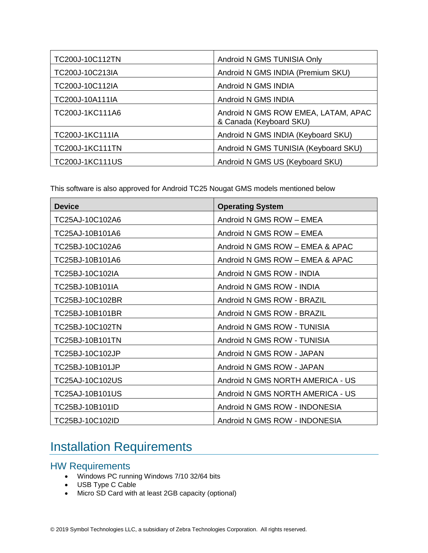| TC200J-10C112TN        | Android N GMS TUNISIA Only                                     |
|------------------------|----------------------------------------------------------------|
| TC200J-10C213IA        | Android N GMS INDIA (Premium SKU)                              |
| TC200J-10C112IA        | Android N GMS INDIA                                            |
| TC200J-10A111IA        | Android N GMS INDIA                                            |
| TC200J-1KC111A6        | Android N GMS ROW EMEA, LATAM, APAC<br>& Canada (Keyboard SKU) |
| <b>TC200J-1KC111IA</b> | Android N GMS INDIA (Keyboard SKU)                             |
| <b>TC200J-1KC111TN</b> | Android N GMS TUNISIA (Keyboard SKU)                           |
| <b>TC200J-1KC111US</b> | Android N GMS US (Keyboard SKU)                                |

This software is also approved for Android TC25 Nougat GMS models mentioned below

| <b>Device</b>   | <b>Operating System</b>          |
|-----------------|----------------------------------|
| TC25AJ-10C102A6 | Android N GMS ROW - EMEA         |
| TC25AJ-10B101A6 | Android N GMS ROW - EMEA         |
| TC25BJ-10C102A6 | Android N GMS ROW - EMEA & APAC  |
| TC25BJ-10B101A6 | Android N GMS ROW - EMEA & APAC  |
| TC25BJ-10C102IA | Android N GMS ROW - INDIA        |
| TC25BJ-10B101IA | Android N GMS ROW - INDIA        |
| TC25BJ-10C102BR | Android N GMS ROW - BRAZIL       |
| TC25BJ-10B101BR | Android N GMS ROW - BRAZIL       |
| TC25BJ-10C102TN | Android N GMS ROW - TUNISIA      |
| TC25BJ-10B101TN | Android N GMS ROW - TUNISIA      |
| TC25BJ-10C102JP | Android N GMS ROW - JAPAN        |
| TC25BJ-10B101JP | Android N GMS ROW - JAPAN        |
| TC25AJ-10C102US | Android N GMS NORTH AMERICA - US |
| TC25AJ-10B101US | Android N GMS NORTH AMERICA - US |
| TC25BJ-10B101ID | Android N GMS ROW - INDONESIA    |
| TC25BJ-10C102ID | Android N GMS ROW - INDONESIA    |

## <span id="page-7-0"></span>Installation Requirements

### HW Requirements

- Windows PC running Windows 7/10 32/64 bits
- USB Type C Cable
- Micro SD Card with at least 2GB capacity (optional)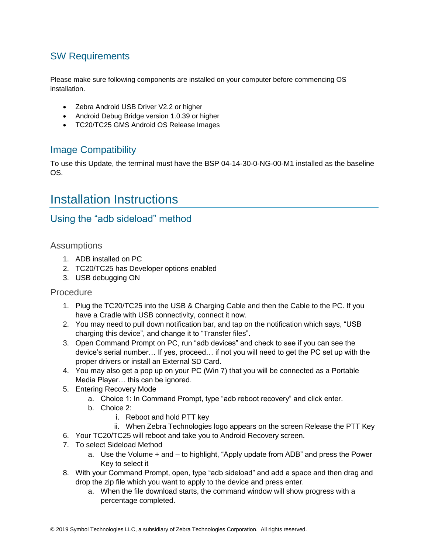### SW Requirements

Please make sure following components are installed on your computer before commencing OS installation.

- Zebra Android USB Driver V2.2 or higher
- Android Debug Bridge version 1.0.39 or higher
- TC20/TC25 GMS Android OS Release Images

### Image Compatibility

To use this Update, the terminal must have the BSP 04-14-30-0-NG-00-M1 installed as the baseline OS.

## <span id="page-8-0"></span>Installation Instructions

### Using the "adb sideload" method

#### **Assumptions**

- 1. ADB installed on PC
- 2. TC20/TC25 has Developer options enabled
- 3. USB debugging ON

#### Procedure

- 1. Plug the TC20/TC25 into the USB & Charging Cable and then the Cable to the PC. If you have a Cradle with USB connectivity, connect it now.
- 2. You may need to pull down notification bar, and tap on the notification which says, "USB charging this device", and change it to "Transfer files".
- 3. Open Command Prompt on PC, run "adb devices" and check to see if you can see the device's serial number… If yes, proceed… if not you will need to get the PC set up with the proper drivers or install an External SD Card.
- 4. You may also get a pop up on your PC (Win 7) that you will be connected as a Portable Media Player… this can be ignored.
- 5. Entering Recovery Mode
	- a. Choice 1: In Command Prompt, type "adb reboot recovery" and click enter.
	- b. Choice 2:
		- i. Reboot and hold PTT key
		- ii. When Zebra Technologies logo appears on the screen Release the PTT Key
- 6. Your TC20/TC25 will reboot and take you to Android Recovery screen.
- 7. To select Sideload Method
	- a. Use the Volume + and to highlight, "Apply update from ADB" and press the Power Key to select it
- 8. With your Command Prompt, open, type "adb sideload" and add a space and then drag and drop the zip file which you want to apply to the device and press enter.
	- a. When the file download starts, the command window will show progress with a percentage completed.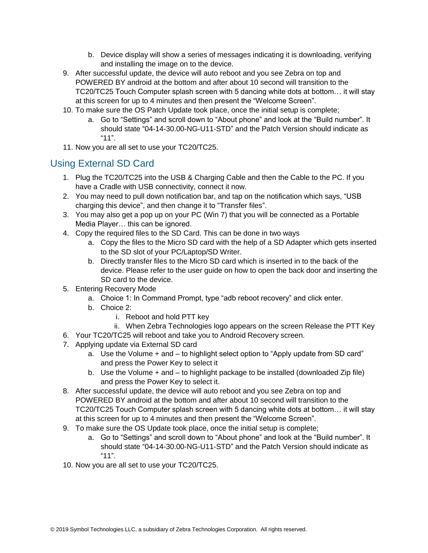- b. Device display will show a series of messages indicating it is downloading, verifying and installing the image on to the device.
- 9. After successful update, the device will auto reboot and you see Zebra on top and POWERED BY android at the bottom and after about 10 second will transition to the TC20/TC25 Touch Computer splash screen with 5 dancing white dots at bottom… it will stay at this screen for up to 4 minutes and then present the "Welcome Screen".
- 10. To make sure the OS Patch Update took place, once the initial setup is complete;
	- a. Go to "Settings" and scroll down to "About phone" and look at the "Build number". It should state "04-14-30.00-NG-U11-STD" and the Patch Version should indicate as "11".
- 11. Now you are all set to use your TC20/TC25.

### Using External SD Card

- 1. Plug the TC20/TC25 into the USB & Charging Cable and then the Cable to the PC. If you have a Cradle with USB connectivity, connect it now.
- 2. You may need to pull down notification bar, and tap on the notification which says, "USB charging this device", and then change it to "Transfer files".
- 3. You may also get a pop up on your PC (Win 7) that you will be connected as a Portable Media Player… this can be ignored.
- 4. Copy the required files to the SD Card. This can be done in two ways
	- a. Copy the files to the Micro SD card with the help of a SD Adapter which gets inserted to the SD slot of your PC/Laptop/SD Writer.
	- b. Directly transfer files to the Micro SD card which is inserted in to the back of the device. Please refer to the user guide on how to open the back door and inserting the SD card to the device.
- 5. Entering Recovery Mode
	- a. Choice 1: In Command Prompt, type "adb reboot recovery" and click enter.
	- b. Choice 2:
		- i. Reboot and hold PTT key
		- ii. When Zebra Technologies logo appears on the screen Release the PTT Key
- 6. Your TC20/TC25 will reboot and take you to Android Recovery screen.
- 7. Applying update via External SD card
	- a. Use the Volume + and to highlight select option to "Apply update from SD card" and press the Power Key to select it
	- b. Use the Volume + and to highlight package to be installed (downloaded Zip file) and press the Power Key to select it.
- 8. After successful update, the device will auto reboot and you see Zebra on top and POWERED BY android at the bottom and after about 10 second will transition to the TC20/TC25 Touch Computer splash screen with 5 dancing white dots at bottom… it will stay at this screen for up to 4 minutes and then present the "Welcome Screen".
- 9. To make sure the OS Update took place, once the initial setup is complete;
	- a. Go to "Settings" and scroll down to "About phone" and look at the "Build number". It should state "04-14-30.00-NG-U11-STD" and the Patch Version should indicate as "11".
- 10. Now you are all set to use your TC20/TC25.